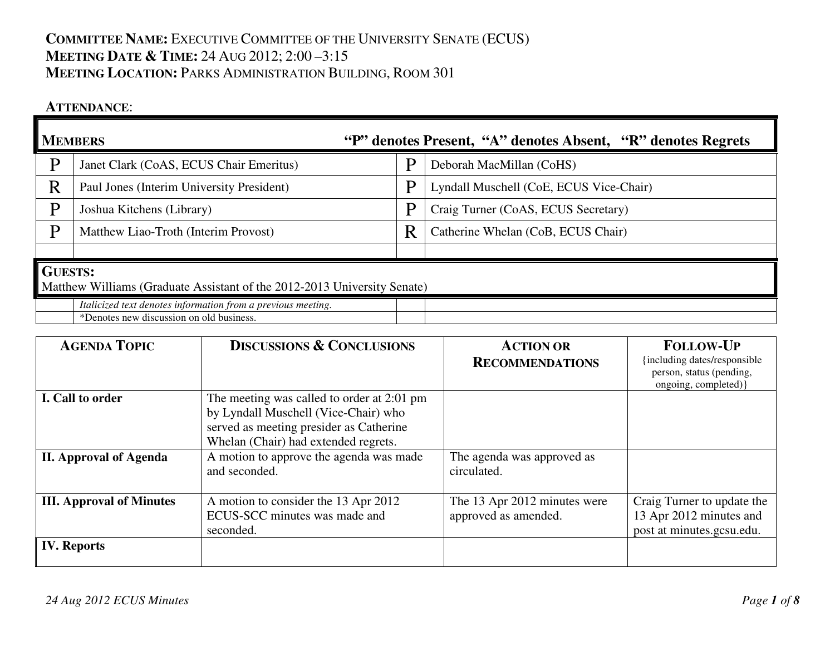# **COMMITTEE NAME:** <sup>E</sup>XECUTIVE COMMITTEE OF THE UNIVERSITY SENATE (ECUS) **MEETING DATE & <sup>T</sup>IME:** <sup>24</sup> <sup>A</sup>UG 2012; 2:00 –3:15 **MEETING LOCATION:** <sup>P</sup>ARKS ADMINISTRATION BUILDING, <sup>R</sup>OOM <sup>301</sup>

### **ATTENDANCE**:

| "P" denotes Present, "A" denotes Absent, "R" denotes Regrets<br><b>MEMBERS</b>             |                                                                                                          |                                         |                                         |  |  |  |
|--------------------------------------------------------------------------------------------|----------------------------------------------------------------------------------------------------------|-----------------------------------------|-----------------------------------------|--|--|--|
| D                                                                                          | Janet Clark (CoAS, ECUS Chair Emeritus)                                                                  | P                                       | Deborah MacMillan (CoHS)                |  |  |  |
| R                                                                                          | Paul Jones (Interim University President)                                                                | P                                       | Lyndall Muschell (CoE, ECUS Vice-Chair) |  |  |  |
| Þ                                                                                          | Joshua Kitchens (Library)                                                                                | P                                       | Craig Turner (CoAS, ECUS Secretary)     |  |  |  |
| D                                                                                          | Matthew Liao-Troth (Interim Provost)                                                                     | R<br>Catherine Whelan (CoB, ECUS Chair) |                                         |  |  |  |
|                                                                                            |                                                                                                          |                                         |                                         |  |  |  |
| <b>GUESTS:</b><br>Matthew Williams (Graduate Assistant of the 2012-2013 University Senate) |                                                                                                          |                                         |                                         |  |  |  |
|                                                                                            | Italicized text denotes information from a previous meeting.<br>*Denotes new discussion on old business. |                                         |                                         |  |  |  |

| <b>AGENDA TOPIC</b>                                                                                                   | <b>DISCUSSIONS &amp; CONCLUSIONS</b>                                                                                                                                  | <b>ACTION OR</b><br><b>RECOMMENDATIONS</b>           | <b>FOLLOW-UP</b><br>{including dates/responsible<br>person, status (pending,<br>ongoing, completed) } |
|-----------------------------------------------------------------------------------------------------------------------|-----------------------------------------------------------------------------------------------------------------------------------------------------------------------|------------------------------------------------------|-------------------------------------------------------------------------------------------------------|
| I. Call to order                                                                                                      | The meeting was called to order at 2:01 pm<br>by Lyndall Muschell (Vice-Chair) who<br>served as meeting presider as Catherine<br>Whelan (Chair) had extended regrets. |                                                      |                                                                                                       |
| <b>II. Approval of Agenda</b>                                                                                         | A motion to approve the agenda was made<br>and seconded.                                                                                                              | The agenda was approved as<br>circulated.            |                                                                                                       |
| A motion to consider the 13 Apr 2012<br><b>III.</b> Approval of Minutes<br>ECUS-SCC minutes was made and<br>seconded. |                                                                                                                                                                       | The 13 Apr 2012 minutes were<br>approved as amended. | Craig Turner to update the<br>13 Apr 2012 minutes and<br>post at minutes.gcsu.edu.                    |
| <b>IV.</b> Reports                                                                                                    |                                                                                                                                                                       |                                                      |                                                                                                       |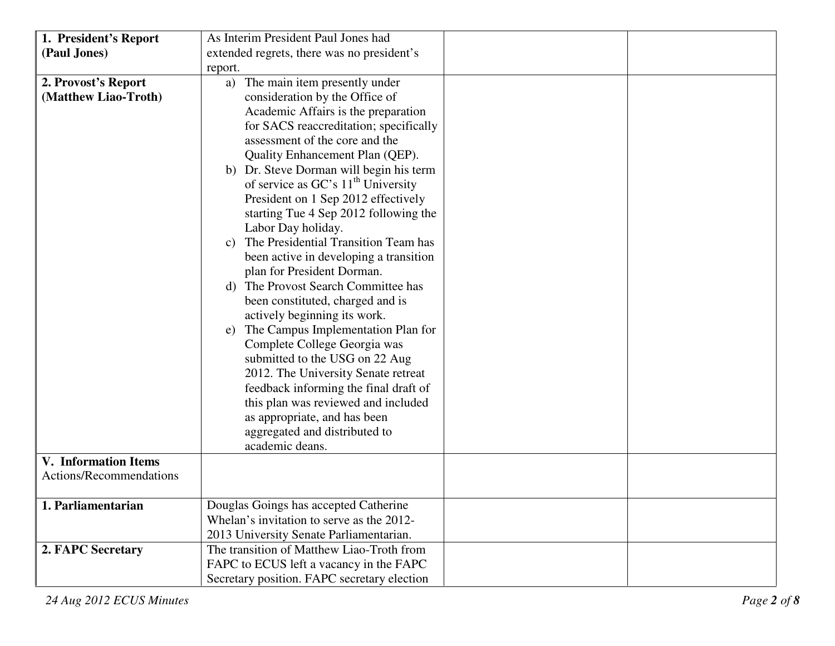| 1. President's Report       | As Interim President Paul Jones had         |
|-----------------------------|---------------------------------------------|
| (Paul Jones)                | extended regrets, there was no president's  |
|                             | report.                                     |
| 2. Provost's Report         | The main item presently under<br>a)         |
| (Matthew Liao-Troth)        | consideration by the Office of              |
|                             | Academic Affairs is the preparation         |
|                             | for SACS reaccreditation; specifically      |
|                             | assessment of the core and the              |
|                             | Quality Enhancement Plan (QEP).             |
|                             | b) Dr. Steve Dorman will begin his term     |
|                             | of service as $GC's 11th University$        |
|                             | President on 1 Sep 2012 effectively         |
|                             | starting Tue 4 Sep 2012 following the       |
|                             | Labor Day holiday.                          |
|                             | c) The Presidential Transition Team has     |
|                             | been active in developing a transition      |
|                             | plan for President Dorman.                  |
|                             | d) The Provost Search Committee has         |
|                             | been constituted, charged and is            |
|                             | actively beginning its work.                |
|                             | e) The Campus Implementation Plan for       |
|                             | Complete College Georgia was                |
|                             | submitted to the USG on 22 Aug              |
|                             | 2012. The University Senate retreat         |
|                             | feedback informing the final draft of       |
|                             | this plan was reviewed and included         |
|                             | as appropriate, and has been                |
|                             | aggregated and distributed to               |
|                             | academic deans.                             |
| <b>V.</b> Information Items |                                             |
| Actions/Recommendations     |                                             |
|                             |                                             |
| 1. Parliamentarian          | Douglas Goings has accepted Catherine       |
|                             | Whelan's invitation to serve as the 2012-   |
|                             | 2013 University Senate Parliamentarian.     |
| 2. FAPC Secretary           | The transition of Matthew Liao-Troth from   |
|                             | FAPC to ECUS left a vacancy in the FAPC     |
|                             | Secretary position. FAPC secretary election |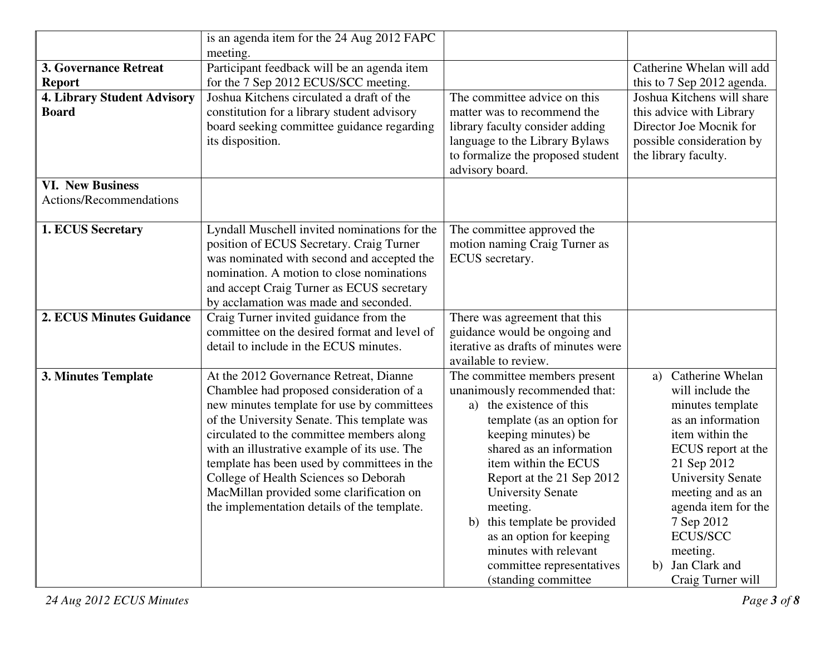| is an agenda item for the 24 Aug 2012 FAPC  |                                                                                                                                                                                                                                                                                                                                                                                                                                                                                                                                                                                                                                                                                                                                                                                                                                                                                                      |                                                                                                                                                                                                                                                                                                                                                                                                                                                                                                                                                                                                                                                                                                 |  |  |
|---------------------------------------------|------------------------------------------------------------------------------------------------------------------------------------------------------------------------------------------------------------------------------------------------------------------------------------------------------------------------------------------------------------------------------------------------------------------------------------------------------------------------------------------------------------------------------------------------------------------------------------------------------------------------------------------------------------------------------------------------------------------------------------------------------------------------------------------------------------------------------------------------------------------------------------------------------|-------------------------------------------------------------------------------------------------------------------------------------------------------------------------------------------------------------------------------------------------------------------------------------------------------------------------------------------------------------------------------------------------------------------------------------------------------------------------------------------------------------------------------------------------------------------------------------------------------------------------------------------------------------------------------------------------|--|--|
| meeting.                                    |                                                                                                                                                                                                                                                                                                                                                                                                                                                                                                                                                                                                                                                                                                                                                                                                                                                                                                      |                                                                                                                                                                                                                                                                                                                                                                                                                                                                                                                                                                                                                                                                                                 |  |  |
| Participant feedback will be an agenda item |                                                                                                                                                                                                                                                                                                                                                                                                                                                                                                                                                                                                                                                                                                                                                                                                                                                                                                      | Catherine Whelan will add                                                                                                                                                                                                                                                                                                                                                                                                                                                                                                                                                                                                                                                                       |  |  |
| for the 7 Sep 2012 ECUS/SCC meeting.        |                                                                                                                                                                                                                                                                                                                                                                                                                                                                                                                                                                                                                                                                                                                                                                                                                                                                                                      | this to 7 Sep 2012 agenda.                                                                                                                                                                                                                                                                                                                                                                                                                                                                                                                                                                                                                                                                      |  |  |
| Joshua Kitchens circulated a draft of the   | The committee advice on this                                                                                                                                                                                                                                                                                                                                                                                                                                                                                                                                                                                                                                                                                                                                                                                                                                                                         | Joshua Kitchens will share                                                                                                                                                                                                                                                                                                                                                                                                                                                                                                                                                                                                                                                                      |  |  |
| constitution for a library student advisory | matter was to recommend the                                                                                                                                                                                                                                                                                                                                                                                                                                                                                                                                                                                                                                                                                                                                                                                                                                                                          | this advice with Library                                                                                                                                                                                                                                                                                                                                                                                                                                                                                                                                                                                                                                                                        |  |  |
| board seeking committee guidance regarding  | library faculty consider adding                                                                                                                                                                                                                                                                                                                                                                                                                                                                                                                                                                                                                                                                                                                                                                                                                                                                      | Director Joe Mocnik for                                                                                                                                                                                                                                                                                                                                                                                                                                                                                                                                                                                                                                                                         |  |  |
|                                             | language to the Library Bylaws                                                                                                                                                                                                                                                                                                                                                                                                                                                                                                                                                                                                                                                                                                                                                                                                                                                                       | possible consideration by                                                                                                                                                                                                                                                                                                                                                                                                                                                                                                                                                                                                                                                                       |  |  |
|                                             |                                                                                                                                                                                                                                                                                                                                                                                                                                                                                                                                                                                                                                                                                                                                                                                                                                                                                                      | the library faculty.                                                                                                                                                                                                                                                                                                                                                                                                                                                                                                                                                                                                                                                                            |  |  |
|                                             |                                                                                                                                                                                                                                                                                                                                                                                                                                                                                                                                                                                                                                                                                                                                                                                                                                                                                                      |                                                                                                                                                                                                                                                                                                                                                                                                                                                                                                                                                                                                                                                                                                 |  |  |
|                                             |                                                                                                                                                                                                                                                                                                                                                                                                                                                                                                                                                                                                                                                                                                                                                                                                                                                                                                      |                                                                                                                                                                                                                                                                                                                                                                                                                                                                                                                                                                                                                                                                                                 |  |  |
|                                             |                                                                                                                                                                                                                                                                                                                                                                                                                                                                                                                                                                                                                                                                                                                                                                                                                                                                                                      |                                                                                                                                                                                                                                                                                                                                                                                                                                                                                                                                                                                                                                                                                                 |  |  |
|                                             |                                                                                                                                                                                                                                                                                                                                                                                                                                                                                                                                                                                                                                                                                                                                                                                                                                                                                                      |                                                                                                                                                                                                                                                                                                                                                                                                                                                                                                                                                                                                                                                                                                 |  |  |
|                                             |                                                                                                                                                                                                                                                                                                                                                                                                                                                                                                                                                                                                                                                                                                                                                                                                                                                                                                      |                                                                                                                                                                                                                                                                                                                                                                                                                                                                                                                                                                                                                                                                                                 |  |  |
|                                             |                                                                                                                                                                                                                                                                                                                                                                                                                                                                                                                                                                                                                                                                                                                                                                                                                                                                                                      |                                                                                                                                                                                                                                                                                                                                                                                                                                                                                                                                                                                                                                                                                                 |  |  |
|                                             |                                                                                                                                                                                                                                                                                                                                                                                                                                                                                                                                                                                                                                                                                                                                                                                                                                                                                                      |                                                                                                                                                                                                                                                                                                                                                                                                                                                                                                                                                                                                                                                                                                 |  |  |
|                                             |                                                                                                                                                                                                                                                                                                                                                                                                                                                                                                                                                                                                                                                                                                                                                                                                                                                                                                      |                                                                                                                                                                                                                                                                                                                                                                                                                                                                                                                                                                                                                                                                                                 |  |  |
|                                             |                                                                                                                                                                                                                                                                                                                                                                                                                                                                                                                                                                                                                                                                                                                                                                                                                                                                                                      |                                                                                                                                                                                                                                                                                                                                                                                                                                                                                                                                                                                                                                                                                                 |  |  |
|                                             |                                                                                                                                                                                                                                                                                                                                                                                                                                                                                                                                                                                                                                                                                                                                                                                                                                                                                                      |                                                                                                                                                                                                                                                                                                                                                                                                                                                                                                                                                                                                                                                                                                 |  |  |
|                                             |                                                                                                                                                                                                                                                                                                                                                                                                                                                                                                                                                                                                                                                                                                                                                                                                                                                                                                      |                                                                                                                                                                                                                                                                                                                                                                                                                                                                                                                                                                                                                                                                                                 |  |  |
|                                             |                                                                                                                                                                                                                                                                                                                                                                                                                                                                                                                                                                                                                                                                                                                                                                                                                                                                                                      |                                                                                                                                                                                                                                                                                                                                                                                                                                                                                                                                                                                                                                                                                                 |  |  |
|                                             |                                                                                                                                                                                                                                                                                                                                                                                                                                                                                                                                                                                                                                                                                                                                                                                                                                                                                                      |                                                                                                                                                                                                                                                                                                                                                                                                                                                                                                                                                                                                                                                                                                 |  |  |
|                                             |                                                                                                                                                                                                                                                                                                                                                                                                                                                                                                                                                                                                                                                                                                                                                                                                                                                                                                      |                                                                                                                                                                                                                                                                                                                                                                                                                                                                                                                                                                                                                                                                                                 |  |  |
|                                             |                                                                                                                                                                                                                                                                                                                                                                                                                                                                                                                                                                                                                                                                                                                                                                                                                                                                                                      | Catherine Whelan<br>a)                                                                                                                                                                                                                                                                                                                                                                                                                                                                                                                                                                                                                                                                          |  |  |
|                                             |                                                                                                                                                                                                                                                                                                                                                                                                                                                                                                                                                                                                                                                                                                                                                                                                                                                                                                      | will include the                                                                                                                                                                                                                                                                                                                                                                                                                                                                                                                                                                                                                                                                                |  |  |
|                                             |                                                                                                                                                                                                                                                                                                                                                                                                                                                                                                                                                                                                                                                                                                                                                                                                                                                                                                      | minutes template                                                                                                                                                                                                                                                                                                                                                                                                                                                                                                                                                                                                                                                                                |  |  |
|                                             |                                                                                                                                                                                                                                                                                                                                                                                                                                                                                                                                                                                                                                                                                                                                                                                                                                                                                                      | as an information                                                                                                                                                                                                                                                                                                                                                                                                                                                                                                                                                                                                                                                                               |  |  |
|                                             |                                                                                                                                                                                                                                                                                                                                                                                                                                                                                                                                                                                                                                                                                                                                                                                                                                                                                                      | item within the                                                                                                                                                                                                                                                                                                                                                                                                                                                                                                                                                                                                                                                                                 |  |  |
|                                             |                                                                                                                                                                                                                                                                                                                                                                                                                                                                                                                                                                                                                                                                                                                                                                                                                                                                                                      | ECUS report at the<br>21 Sep 2012                                                                                                                                                                                                                                                                                                                                                                                                                                                                                                                                                                                                                                                               |  |  |
|                                             |                                                                                                                                                                                                                                                                                                                                                                                                                                                                                                                                                                                                                                                                                                                                                                                                                                                                                                      | <b>University Senate</b>                                                                                                                                                                                                                                                                                                                                                                                                                                                                                                                                                                                                                                                                        |  |  |
|                                             |                                                                                                                                                                                                                                                                                                                                                                                                                                                                                                                                                                                                                                                                                                                                                                                                                                                                                                      | meeting and as an                                                                                                                                                                                                                                                                                                                                                                                                                                                                                                                                                                                                                                                                               |  |  |
|                                             |                                                                                                                                                                                                                                                                                                                                                                                                                                                                                                                                                                                                                                                                                                                                                                                                                                                                                                      | agenda item for the                                                                                                                                                                                                                                                                                                                                                                                                                                                                                                                                                                                                                                                                             |  |  |
|                                             |                                                                                                                                                                                                                                                                                                                                                                                                                                                                                                                                                                                                                                                                                                                                                                                                                                                                                                      | 7 Sep 2012                                                                                                                                                                                                                                                                                                                                                                                                                                                                                                                                                                                                                                                                                      |  |  |
|                                             |                                                                                                                                                                                                                                                                                                                                                                                                                                                                                                                                                                                                                                                                                                                                                                                                                                                                                                      | <b>ECUS/SCC</b>                                                                                                                                                                                                                                                                                                                                                                                                                                                                                                                                                                                                                                                                                 |  |  |
|                                             |                                                                                                                                                                                                                                                                                                                                                                                                                                                                                                                                                                                                                                                                                                                                                                                                                                                                                                      | meeting.                                                                                                                                                                                                                                                                                                                                                                                                                                                                                                                                                                                                                                                                                        |  |  |
|                                             |                                                                                                                                                                                                                                                                                                                                                                                                                                                                                                                                                                                                                                                                                                                                                                                                                                                                                                      | b) Jan Clark and                                                                                                                                                                                                                                                                                                                                                                                                                                                                                                                                                                                                                                                                                |  |  |
|                                             |                                                                                                                                                                                                                                                                                                                                                                                                                                                                                                                                                                                                                                                                                                                                                                                                                                                                                                      | Craig Turner will                                                                                                                                                                                                                                                                                                                                                                                                                                                                                                                                                                                                                                                                               |  |  |
|                                             | its disposition.<br>Lyndall Muschell invited nominations for the<br>position of ECUS Secretary. Craig Turner<br>was nominated with second and accepted the<br>nomination. A motion to close nominations<br>and accept Craig Turner as ECUS secretary<br>by acclamation was made and seconded.<br>Craig Turner invited guidance from the<br>committee on the desired format and level of<br>detail to include in the ECUS minutes.<br>At the 2012 Governance Retreat, Dianne<br>Chamblee had proposed consideration of a<br>new minutes template for use by committees<br>of the University Senate. This template was<br>circulated to the committee members along<br>with an illustrative example of its use. The<br>template has been used by committees in the<br>College of Health Sciences so Deborah<br>MacMillan provided some clarification on<br>the implementation details of the template. | to formalize the proposed student<br>advisory board.<br>The committee approved the<br>motion naming Craig Turner as<br>ECUS secretary.<br>There was agreement that this<br>guidance would be ongoing and<br>iterative as drafts of minutes were<br>available to review.<br>The committee members present<br>unanimously recommended that:<br>a) the existence of this<br>template (as an option for<br>keeping minutes) be<br>shared as an information<br>item within the ECUS<br>Report at the 21 Sep 2012<br><b>University Senate</b><br>meeting.<br>this template be provided<br>b)<br>as an option for keeping<br>minutes with relevant<br>committee representatives<br>(standing committee |  |  |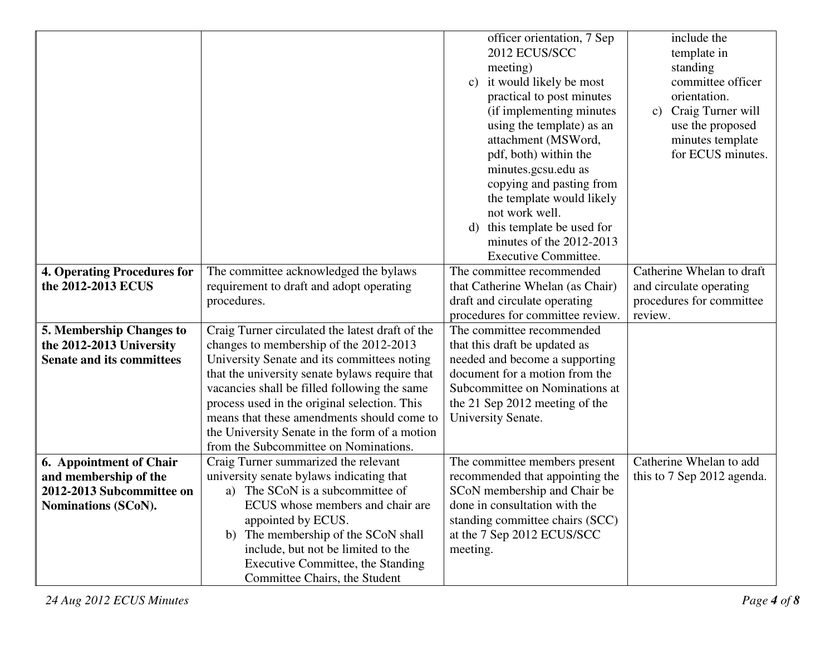|                                                          |                                                                                            | officer orientation, 7 Sep<br>2012 ECUS/SCC<br>meeting)<br>it would likely be most<br>$\mathbf{c})$<br>practical to post minutes<br>(if implementing minutes)<br>using the template) as an<br>attachment (MSWord,<br>pdf, both) within the<br>minutes.gcsu.edu as<br>copying and pasting from<br>the template would likely | include the<br>template in<br>standing<br>committee officer<br>orientation.<br>Craig Turner will<br>$\mathbf{c})$<br>use the proposed<br>minutes template<br>for ECUS minutes. |  |
|----------------------------------------------------------|--------------------------------------------------------------------------------------------|----------------------------------------------------------------------------------------------------------------------------------------------------------------------------------------------------------------------------------------------------------------------------------------------------------------------------|--------------------------------------------------------------------------------------------------------------------------------------------------------------------------------|--|
|                                                          |                                                                                            | not work well.                                                                                                                                                                                                                                                                                                             |                                                                                                                                                                                |  |
|                                                          |                                                                                            | this template be used for<br>d)<br>minutes of the 2012-2013                                                                                                                                                                                                                                                                |                                                                                                                                                                                |  |
|                                                          |                                                                                            | <b>Executive Committee.</b>                                                                                                                                                                                                                                                                                                |                                                                                                                                                                                |  |
| <b>4. Operating Procedures for</b><br>the 2012-2013 ECUS | The committee acknowledged the bylaws                                                      | The committee recommended                                                                                                                                                                                                                                                                                                  | Catherine Whelan to draft<br>and circulate operating                                                                                                                           |  |
|                                                          | requirement to draft and adopt operating<br>procedures.                                    | that Catherine Whelan (as Chair)<br>draft and circulate operating                                                                                                                                                                                                                                                          | procedures for committee                                                                                                                                                       |  |
|                                                          |                                                                                            | procedures for committee review.                                                                                                                                                                                                                                                                                           | review.                                                                                                                                                                        |  |
| 5. Membership Changes to                                 | Craig Turner circulated the latest draft of the                                            | The committee recommended                                                                                                                                                                                                                                                                                                  |                                                                                                                                                                                |  |
| the 2012-2013 University                                 | changes to membership of the 2012-2013                                                     | that this draft be updated as                                                                                                                                                                                                                                                                                              |                                                                                                                                                                                |  |
| <b>Senate and its committees</b>                         | University Senate and its committees noting                                                | needed and become a supporting                                                                                                                                                                                                                                                                                             |                                                                                                                                                                                |  |
|                                                          | that the university senate bylaws require that                                             | document for a motion from the                                                                                                                                                                                                                                                                                             |                                                                                                                                                                                |  |
|                                                          | vacancies shall be filled following the same                                               | Subcommittee on Nominations at                                                                                                                                                                                                                                                                                             |                                                                                                                                                                                |  |
|                                                          | process used in the original selection. This<br>means that these amendments should come to | the 21 Sep 2012 meeting of the                                                                                                                                                                                                                                                                                             |                                                                                                                                                                                |  |
|                                                          |                                                                                            | University Senate.                                                                                                                                                                                                                                                                                                         |                                                                                                                                                                                |  |
|                                                          | the University Senate in the form of a motion<br>from the Subcommittee on Nominations.     |                                                                                                                                                                                                                                                                                                                            |                                                                                                                                                                                |  |
| 6. Appointment of Chair                                  | Craig Turner summarized the relevant                                                       | The committee members present                                                                                                                                                                                                                                                                                              | Catherine Whelan to add                                                                                                                                                        |  |
| and membership of the                                    | university senate bylaws indicating that                                                   | recommended that appointing the                                                                                                                                                                                                                                                                                            | this to 7 Sep 2012 agenda.                                                                                                                                                     |  |
| 2012-2013 Subcommittee on                                | a) The SCoN is a subcommittee of                                                           | SCoN membership and Chair be                                                                                                                                                                                                                                                                                               |                                                                                                                                                                                |  |
| Nominations (SCoN).                                      | ECUS whose members and chair are                                                           | done in consultation with the                                                                                                                                                                                                                                                                                              |                                                                                                                                                                                |  |
|                                                          | appointed by ECUS.                                                                         | standing committee chairs (SCC)                                                                                                                                                                                                                                                                                            |                                                                                                                                                                                |  |
|                                                          | b) The membership of the SCoN shall                                                        | at the 7 Sep 2012 ECUS/SCC                                                                                                                                                                                                                                                                                                 |                                                                                                                                                                                |  |
|                                                          | include, but not be limited to the                                                         | meeting.                                                                                                                                                                                                                                                                                                                   |                                                                                                                                                                                |  |
|                                                          | Executive Committee, the Standing                                                          |                                                                                                                                                                                                                                                                                                                            |                                                                                                                                                                                |  |
|                                                          | Committee Chairs, the Student                                                              |                                                                                                                                                                                                                                                                                                                            |                                                                                                                                                                                |  |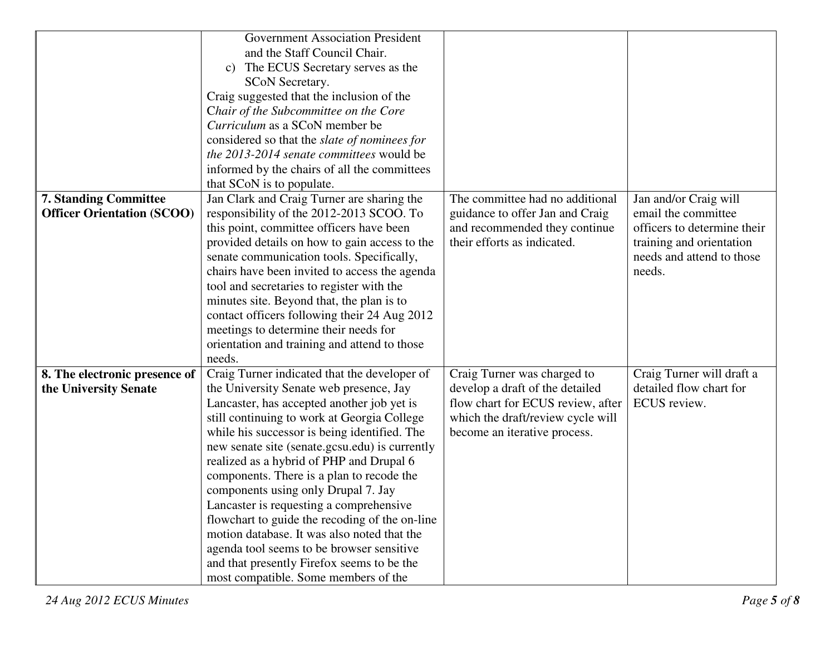|                                     | <b>Government Association President</b>                                      |                                   |                             |
|-------------------------------------|------------------------------------------------------------------------------|-----------------------------------|-----------------------------|
|                                     | and the Staff Council Chair.                                                 |                                   |                             |
|                                     | The ECUS Secretary serves as the<br>$\mathbf{c})$                            |                                   |                             |
|                                     | <b>SCoN Secretary.</b>                                                       |                                   |                             |
|                                     | Craig suggested that the inclusion of the                                    |                                   |                             |
|                                     | Chair of the Subcommittee on the Core                                        |                                   |                             |
|                                     | Curriculum as a SCoN member be                                               |                                   |                             |
|                                     | considered so that the <i>slate of nominees for</i>                          |                                   |                             |
|                                     | the 2013-2014 senate committees would be                                     |                                   |                             |
|                                     | informed by the chairs of all the committees                                 |                                   |                             |
|                                     | that SCoN is to populate.                                                    |                                   |                             |
| <b>7. Standing Committee</b>        | Jan Clark and Craig Turner are sharing the                                   | The committee had no additional   | Jan and/or Craig will       |
| <b>Officer Orientation (SCOO)</b>   | responsibility of the 2012-2013 SCOO. To                                     | guidance to offer Jan and Craig   | email the committee         |
|                                     | this point, committee officers have been                                     | and recommended they continue     | officers to determine their |
|                                     | provided details on how to gain access to the                                | their efforts as indicated.       | training and orientation    |
|                                     | senate communication tools. Specifically,                                    |                                   | needs and attend to those   |
|                                     | chairs have been invited to access the agenda                                |                                   | needs.                      |
|                                     | tool and secretaries to register with the                                    |                                   |                             |
|                                     | minutes site. Beyond that, the plan is to                                    |                                   |                             |
|                                     | contact officers following their 24 Aug 2012                                 |                                   |                             |
|                                     | meetings to determine their needs for                                        |                                   |                             |
|                                     | orientation and training and attend to those                                 |                                   |                             |
|                                     | needs.                                                                       |                                   |                             |
| 8. The electronic presence of       | Craig Turner indicated that the developer of                                 | Craig Turner was charged to       | Craig Turner will draft a   |
| the University Senate               | the University Senate web presence, Jay                                      | develop a draft of the detailed   | detailed flow chart for     |
|                                     | Lancaster, has accepted another job yet is                                   | flow chart for ECUS review, after | ECUS review.                |
|                                     | still continuing to work at Georgia College                                  | which the draft/review cycle will |                             |
|                                     | while his successor is being identified. The<br>become an iterative process. |                                   |                             |
|                                     | new senate site (senate.gcsu.edu) is currently                               |                                   |                             |
|                                     | realized as a hybrid of PHP and Drupal 6                                     |                                   |                             |
|                                     | components. There is a plan to recode the                                    |                                   |                             |
| components using only Drupal 7. Jay |                                                                              |                                   |                             |
|                                     | Lancaster is requesting a comprehensive                                      |                                   |                             |
|                                     | flowchart to guide the recoding of the on-line                               |                                   |                             |
|                                     | motion database. It was also noted that the                                  |                                   |                             |
|                                     | agenda tool seems to be browser sensitive                                    |                                   |                             |
|                                     | and that presently Firefox seems to be the                                   |                                   |                             |
|                                     | most compatible. Some members of the                                         |                                   |                             |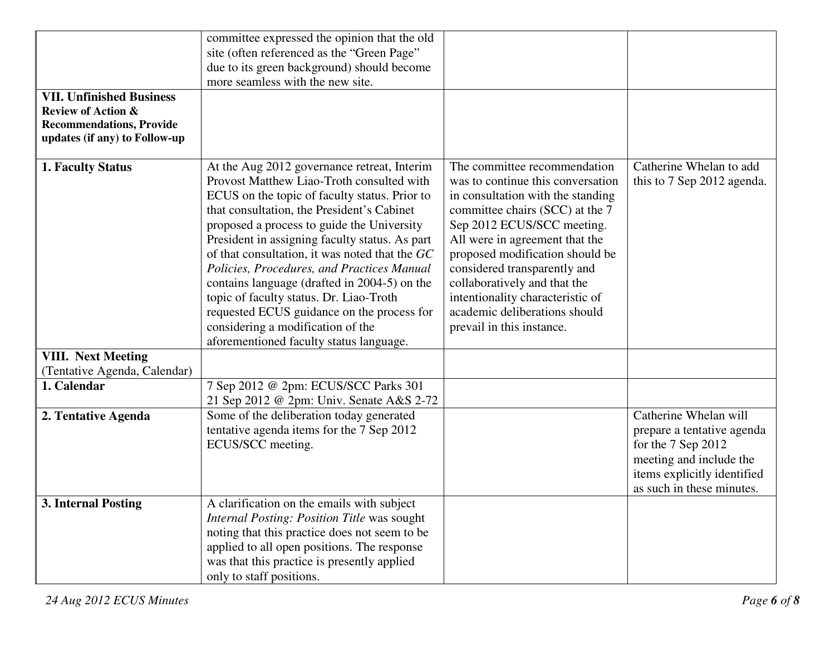|                                 | committee expressed the opinion that the old   |                                   |                             |
|---------------------------------|------------------------------------------------|-----------------------------------|-----------------------------|
|                                 | site (often referenced as the "Green Page"     |                                   |                             |
|                                 | due to its green background) should become     |                                   |                             |
|                                 | more seamless with the new site.               |                                   |                             |
| <b>VII. Unfinished Business</b> |                                                |                                   |                             |
| <b>Review of Action &amp;</b>   |                                                |                                   |                             |
| <b>Recommendations, Provide</b> |                                                |                                   |                             |
| updates (if any) to Follow-up   |                                                |                                   |                             |
|                                 |                                                |                                   |                             |
| 1. Faculty Status               | At the Aug 2012 governance retreat, Interim    | The committee recommendation      | Catherine Whelan to add     |
|                                 | Provost Matthew Liao-Troth consulted with      | was to continue this conversation | this to 7 Sep 2012 agenda.  |
|                                 | ECUS on the topic of faculty status. Prior to  | in consultation with the standing |                             |
|                                 | that consultation, the President's Cabinet     | committee chairs (SCC) at the 7   |                             |
|                                 | proposed a process to guide the University     | Sep 2012 ECUS/SCC meeting.        |                             |
|                                 | President in assigning faculty status. As part | All were in agreement that the    |                             |
|                                 | of that consultation, it was noted that the GC | proposed modification should be   |                             |
|                                 | Policies, Procedures, and Practices Manual     | considered transparently and      |                             |
|                                 | contains language (drafted in 2004-5) on the   | collaboratively and that the      |                             |
|                                 | topic of faculty status. Dr. Liao-Troth        | intentionality characteristic of  |                             |
|                                 | requested ECUS guidance on the process for     | academic deliberations should     |                             |
|                                 | considering a modification of the              | prevail in this instance.         |                             |
|                                 | aforementioned faculty status language.        |                                   |                             |
| <b>VIII.</b> Next Meeting       |                                                |                                   |                             |
| (Tentative Agenda, Calendar)    |                                                |                                   |                             |
| 1. Calendar                     | 7 Sep 2012 @ 2pm: ECUS/SCC Parks 301           |                                   |                             |
|                                 | 21 Sep 2012 @ 2pm: Univ. Senate A&S 2-72       |                                   |                             |
| 2. Tentative Agenda             | Some of the deliberation today generated       |                                   | Catherine Whelan will       |
|                                 | tentative agenda items for the 7 Sep 2012      |                                   | prepare a tentative agenda  |
|                                 | ECUS/SCC meeting.                              |                                   | for the 7 Sep 2012          |
|                                 |                                                |                                   | meeting and include the     |
|                                 |                                                |                                   | items explicitly identified |
|                                 |                                                |                                   | as such in these minutes.   |
| 3. Internal Posting             | A clarification on the emails with subject     |                                   |                             |
|                                 | Internal Posting: Position Title was sought    |                                   |                             |
|                                 | noting that this practice does not seem to be  |                                   |                             |
|                                 | applied to all open positions. The response    |                                   |                             |
|                                 | was that this practice is presently applied    |                                   |                             |
|                                 | only to staff positions.                       |                                   |                             |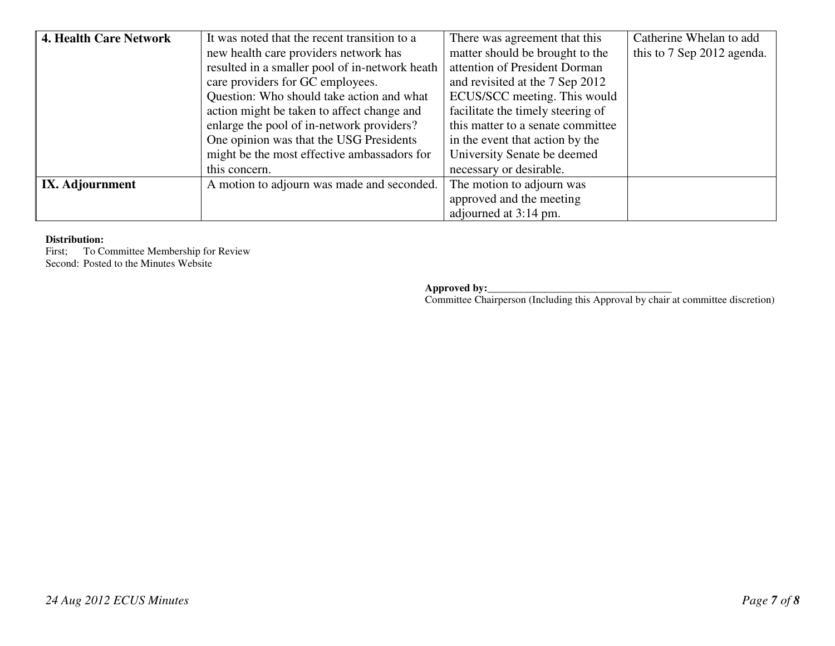| 4. Health Care Network                                        | It was noted that the recent transition to a                               | There was agreement that this     | Catherine Whelan to add    |
|---------------------------------------------------------------|----------------------------------------------------------------------------|-----------------------------------|----------------------------|
|                                                               | new health care providers network has                                      | matter should be brought to the   | this to 7 Sep 2012 agenda. |
|                                                               | resulted in a smaller pool of in-network heath                             | attention of President Dorman     |                            |
|                                                               | care providers for GC employees.                                           | and revisited at the 7 Sep 2012   |                            |
|                                                               | Question: Who should take action and what                                  | ECUS/SCC meeting. This would      |                            |
|                                                               | action might be taken to affect change and                                 | facilitate the timely steering of |                            |
|                                                               | enlarge the pool of in-network providers?                                  | this matter to a senate committee |                            |
|                                                               | One opinion was that the USG Presidents                                    | in the event that action by the   |                            |
|                                                               | might be the most effective ambassadors for<br>University Senate be deemed |                                   |                            |
|                                                               | this concern.                                                              | necessary or desirable.           |                            |
| A motion to adjourn was made and seconded.<br>IX. Adjournment |                                                                            | The motion to adjourn was         |                            |
|                                                               |                                                                            | approved and the meeting          |                            |
|                                                               |                                                                            | adjourned at 3:14 pm.             |                            |

#### **Distribution:**

 First; To Committee Membership for Review Second: Posted to the Minutes Website

**Approved by:\_\_\_\_\_\_\_\_\_\_\_\_\_\_\_\_\_\_\_\_\_\_\_\_\_\_\_\_\_\_\_\_\_\_\_**

Committee Chairperson (Including this Approval by chair at committee discretion)